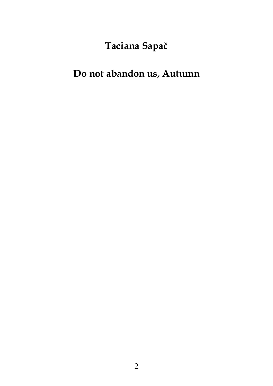# Taciana Sapač

## Do not abandon us, Autumn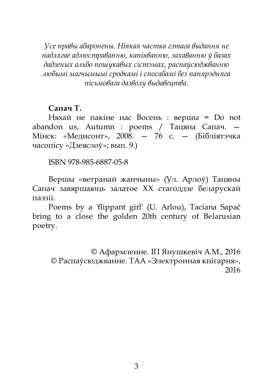Усе правы абаронены. Ніякая частка гэтага выдання не падлягае адлюстраванню, капіяванню, захаванню ў базах дадзеных альбо пошукавых сістэмах, распаўсюджванню любымі магчымымі сродкамі і спосабамі без папярэдняга пісьмовага дазволу выдавецтва.

#### Сапач Т.

Няхай не пакіне нас Восень : вершы = Do not abandon us, Autumn : poems / Тацяна Сапач. — Мінск: «Медисонт», 2008. — 76 с. — (Бібліятэчка часопісу «Дзеяслоў»; вып. 9.)

ISBN 978-985-6887-05-8

Вершы «ветранай жанчыны» (Ул. Арлоў) Тацяны Сапач завяршаюць залатое XX стагоддзе беларускай паэзіі.

Poems by a 'flippant girl' (U. Arlou), Taciana Sapač bring to a close the golden 20th century of Belarusian poetry.

© Афармленне. ІП Янушкевіч А.М., 2016 © Распаўсюджванне. ТАА «Электронная кнігарня», 2016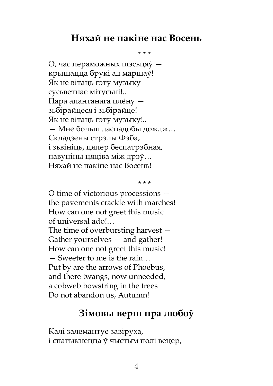### Няхай не пакіне нас Восень

\* \* \*

О, час пераможных шэсьцяў крышацца брукі ад маршаў! Як не вітаць гэту музыку сусьветнае мітусьні!.. Пара апантанага плёну зьбірайцеся і зьбірайце! Як не вітаць гэту музыку!.. — Мне больш даспадобы дождж… Складзены стрэлы Фэба, і зьвініць, цяпер беспатрэбная, павуціны цяціва між дрэў… Няхай не пакіне нас Восень!

\* \* \*

O time of victorious processions the pavements crackle with marches! How can one not greet this music of universal ado!… The time of overbursting harvest — Gather yourselves — and gather! How can one not greet this music! — Sweeter to me is the rain… Put by are the arrows of Phoebus, and there twangs, now unneeded, a cobweb bowstring in the trees

Do not abandon us, Autumn!

### Зімовы верш пра любоў

Калі залемантуе завіруха, і спатыкнецца ў чыстым полі вецер,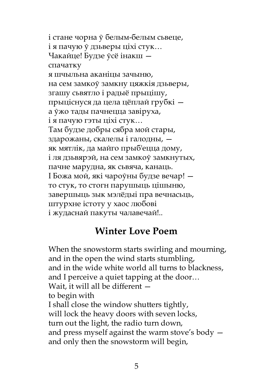і стане чорна ў белым-белым сьвеце, і я пачую ў дзьверы ціхі стук… Чакайце! Будзе ўсё інакш спачатку я шчыльна аканіцы зачыню, на сем замкоў замкну цяжкія дзьверы, згашу сьвятло і радыё прыцішу, прыціснуся да цела цёплай грубкі а ўжо тады пачнецца завіруха, і я пачую гэты ціхі стук… Там будзе добры сябра мой стары, здарожаны, скалелы і галодны, як мятлік, да майго прыб'ецца дому, і ля дзьвярэй, на сем замкоў замкнутых, пачне марудна, як сьвяча, канаць. І Божа мой, які чароўны будзе вечар! то стук, то стогн парушыць цішыню, завершыць зык мэлёдыі пра вечнасьць, штурхне істоту у хаос любові і жудаснай пакуты чалавечай!..

### Winter Love Poem

When the snowstorm starts swirling and mourning, and in the open the wind starts stumbling, and in the wide white world all turns to blackness, and I perceive a quiet tapping at the door… Wait, it will all be different to begin with I shall close the window shutters tightly, will lock the heavy doors with seven locks, turn out the light, the radio turn down, and press myself against the warm stove's body and only then the snowstorm will begin,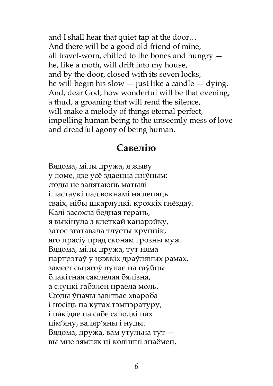and I shall hear that quiet tap at the door… And there will be a good old friend of mine, all travel-worn, chilled to the bones and hungry he, like a moth, will drift into my house, and by the door, closed with its seven locks, he will begin his slow  $-$  just like a candle  $-$  dying. And, dear God, how wonderful will be that evening, a thud, a groaning that will rend the silence, will make a melody of things eternal perfect, impelling human being to the unseemly mess of love and dreadful agony of being human.

### Савелію

Вядома, мілы дружа, я жыву у доме, дзе усё здаецца дзіўным: сюды не залятаюць матылі і ластаўкі пад вокнамі ня лепяць сваіх, нібы шкарлупкі, кроxкіх гнёздаў. Калі засохла бедная герань, я выкінула з клеткай канарэйку, затое згатавала тлусты крупнік, яго прасіў прад сконам грозны муж. Вядома, мілы дружа, тут няма партрэтаў у цяжкіх драўляных рамах, замест сьцягоў лунае на гаўбцы блакітная самлелая бялізна, а слуцкі габэлен праела моль. Сюды ўначы завітвае хвароба і носіць па кутах тэмпэратуру, і пакідае па сабе салодкі пах цім'яну, валяр'яны і нуды. Вядома, дружа, вам утульна тут вы мне зямляк ці колішні знаёмец,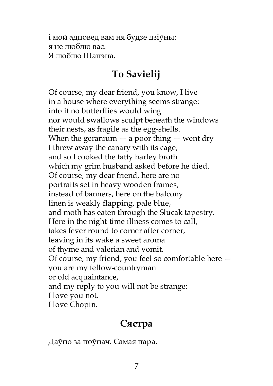і мой адповед вам ня будзе дзіўны: я не люблю вас. Я люблю Шапэна.

## To Savielij

Of course, my dear friend, you know, I live in a house where everything seems strange: into it no butterflies would wing nor would swallows sculpt beneath the windows their nests, as fragile as the egg-shells. When the geranium  $-$  a poor thing  $-$  went dry I threw away the canary with its cage, and so I cooked the fatty barley broth which my grim husband asked before he died. Of course, my dear friend, here are no portraits set in heavy wooden frames, instead of banners, here on the balcony linen is weakly flapping, pale blue, and moth has eaten through the Slucak tapestry. Here in the night-time illness comes to call, takes fever round to corner after corner, leaving in its wake a sweet aroma of thyme and valerian and vomit. Of course, my friend, you feel so comfortable here you are my fellow-countryman or old acquaintance, and my reply to you will not be strange: I love you not. I love Chopin.

## Сястра

Даўно за поўнач. Самая пара.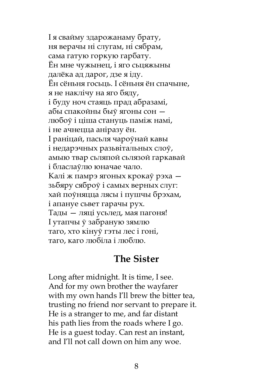І я свайму здарожанаму брату, ня верачы ні слугам, ні сябрам, сама гатую горкую гарбату. Ён мне чужынец, і яго сьцяжыны далёка ад дарог, дзе я іду. Ён сёньня госьць. І сёньня ён спачыне, я не наклічу на яго бяду, і буду ноч стаяць прад абразамі, абы спакойны быў ягоны сон любоў і ціша стануць паміж намі, і не ачнецца аніразу ён. І раніцай, пасьля чароўнай кавы і недарэчных разьвітальных слоў, амыю твар сьляпой сьлязой гаркавай і бласлаўлю юначае чало. Калі ж памрэ ягоных крокаў рэха зьбяру сяброў і самых верных слуг: хай поўняцца лясы і пушчы брэхам, і апануе сьвет гарачы рух. Тады — ляці усьлед, мая пагоня! І утапчы ў забраную зямлю таго, хто кінуў гэты лес і гоні, таго, каго любіла і люблю.

#### The Sister

Long after midnight. It is time, I see. And for my own brother the wayfarer with my own hands I'll brew the bitter tea, trusting no friend nor servant to prepare it. He is a stranger to me, and far distant his path lies from the roads where I go. He is a guest today. Can rest an instant, and I'll not call down on him any woe.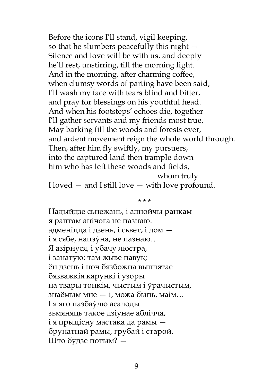Before the icons I'll stand, vigil keeping, so that he slumbers peacefully this night — Silence and love will be with us, and deeply he'll rest, unstirring, till the morning light. And in the morning, after charming coffee, when clumsy words of parting have been said, I'll wash my face with tears blind and bitter, and pray for blessings on his youthful head. And when his footsteps' echoes die, together I'll gather servants and my friends most true, May barking fill the woods and forests ever, and ardent movement reign the whole world through. Then, after him fly swiftly, my pursuers, into the captured land then trample down him who has left these woods and fields,

whom truly I loved — and I still love — with love profound.

\* \* \*

Надыйдзе сьнежань, і аднойчы ранкам я раптам анічога не пазнаю: адменіцца і дзень, і сьвет, і дом і я сябе, напэўна, не пазнаю… Я азірнуся, і убачу люстра, і занатую: там жыве павук; ён дзень і ноч бязбожна выплятае бязважкія карункі і узоры на твары тонкім, чыстым і ўрачыстым, знаёмым мне — і, можа быць, маім… І я яго пазбаўлю асалоды зьмяняць такое дзіўнае аблічча, і я прыцісну мастака да рамы брунатнай рамы, грубай і старой. Што будзе потым? —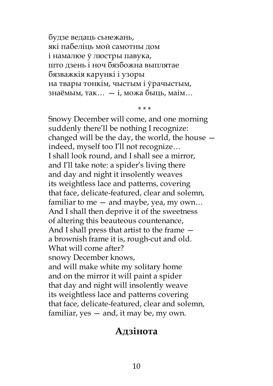будзе ведаць сьнежань, які пабеліць мой самотны дом і намалюе ў люстры павука, што дзень і ноч бязбожна выплятае бязважкія карункі і узоры на твары тонкім, чыстым і ўрачыстым, знаёмым, так… — і, можа быць, маім…

\* \* \*

Snowy December will come, and one morning suddenly there'll be nothing I recognize: changed will be the day, the world, the house indeed, myself too I'll not recognize… I shall look round, and I shall see a mirror, and I'll take note: a spider's living there and day and night it insolently weaves its weightless lace and patterns, covering that face, delicate-featured, clear and solemn, familiar to me — and maybe, yea, my own… And I shall then deprive it of the sweetness of altering this beauteous countenance, And I shall press that artist to the frame a brownish frame it is, rough-cut and old. What will come after? snowy December knows, and will make white my solitary home and on the mirror it will paint a spider that day and night will insolently weave its weightless lace and patterns covering that face, delicate-featured, clear and solemn, familiar, yes — and, it may be, my own.

#### Адзінота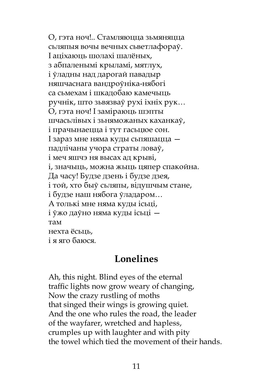О, гэта ноч!.. Стамляюцца зьмяняцца сьляпыя вочы вечных сьветлафораў. І аціхаюць шолахі шалёных, з абпаленымі крыламі, мятлух, і ўладны над дарогай павадыр няшчаснага вандроўніка-нябогі са сьмехам і шкадобаю камечыць ручнік, што зьвязваў рухі іхніх рук… О, гэта ноч! І заміраюць шэпты шчасьлівых і зьняможаных каханкаў, і прачынаецца і тут гасьцюе сон. І зараз мне няма куды сьпяшацца падлічаны учора страты ловаў, і меч яшчэ ня высах ад крыві, і, значыць, можна жыць цяпер спакойна. Да часу! Будзе дзень і будзе дзея, і той, хто быў сьляпы, відушчым стане, і будзе наш нябога ўладаром… А толькі мне няма куды ісьці, і ўжо даўно няма куды ісьці там нехта ёсьць, і я яго баюся.

### Lonelines

Ah, this night. Blind eyes of the eternal traffic lights now grow weary of changing, Now the crazy rustling of moths that singed their wings is growing quiet. And the one who rules the road, the leader of the wayfarer, wretched and hapless, crumples up with laughter and with pity the towel which tied the movement of their hands.